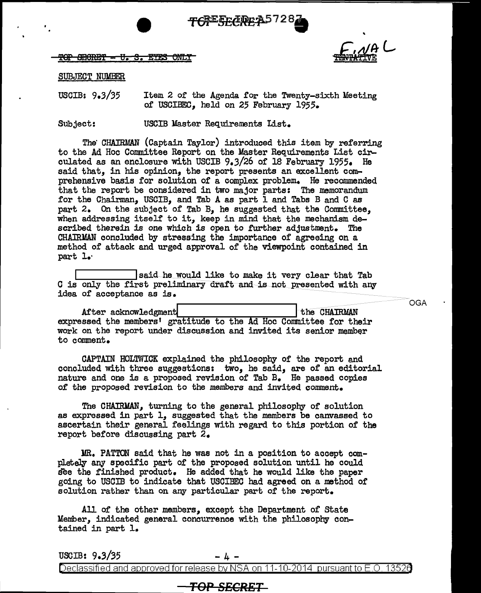

TOP SECRET - V. S. EYES ONLY



#### SUBJECT NUMBER

USCIB: 9.3/35 Item 2 of the Agenda for the Twenty-sixth Meeting of USCIBEC, held on 25 February 1955.

Subject: USCIB Master Requirements List.

The CHAIRMAN (Captain Taylor) introduced this item by referring to the Ad Hoc Committee Report on the Master Requirements List circulated as an enclosure with USCIB 9.3/26 of 18 February 1955. He said that, in his opinion, the report presents an excellent comprehensive basis for solution or a complex problem. He recommended that the report be considered in two major parts: The memorandum for the Chairman, USCIB, and Tab A as part I and Tabs B and C as part 2. On the subject of Tab B, he suggested that the Committee, when addressing itself to it, keep in mind that the mechanism described therein is one which is open to further adjustment. The CHAJRMAN concluded by stressing the importance of agreeing on a method of attack and urged approval of the viewpoint contained in part l.·

I said he would like to make it very clear that Tab G is only the first preliminary draft and is not presented with any idea of acceptance as is.

|                                                                    | <b>OGA</b>   |
|--------------------------------------------------------------------|--------------|
| After acknowledgment                                               | the CHAIRMAN |
| expressed the members' gratitude to the Ad Hoc Committee for their |              |
| work on the report under discussion and invited its senior member  |              |
| to comment.                                                        |              |

CAPTAIN HOLTWICK explained the philosophy of the report and concluded with three suggestions: two, he said, are of an editorial nature and one is a proposed revision of' Tab B. He passed copies of' the proposed revision to the members and invited comment.

The CHAIRMAN, turning to the general philosophy of solution as expressed in part l, suggested that the members be canvassed to ascertain their general feelings with regard to this portion of the report before discussing part 2.

MR. PATTON said that he was not in a position to accept completely any specific part of the proposed solution until he could see the finished product. He added that he would like the paper going to USCIB to indicate that USCIBEC had agreed on a method of solution rather than on any particular part of the report.

All of the other members, except the Department of State Member, indicated general concurrence with the philosophy contained in part 1.

USCIB:  $9.3/35$  - 4 -

Declassified and approved for release by NSA on 11-10-2014 pursuant to E .0. 1352a

### TOP SECRET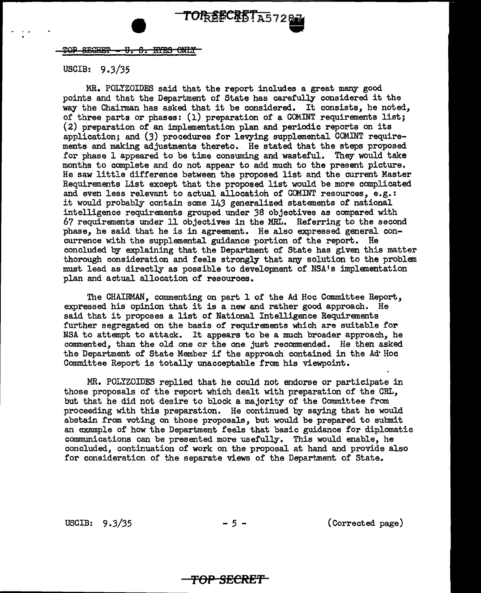TOP SECRET - U. S. EYES ONLY

### USCIB: 9 *.3/35*

MR. POLYZOIDES said that the report includes a great many good points and that the Department of State has carefully considered it the way the Chairman has asked that it be considered. It consists, he noted, of three parts or phases: (1) preparation of a COMINT requirements list; (2) preparation of an implementation plan and periodic reports on its application; and  $(3)$  procedures for levying supplemental COMINT requirements and making adjustments thereto. He stated that the steps proposed for phase 1 appeared to be time consuming and wasteful. They would take months to complete and do not appear to add much to the present picture. He saw little difference between the proposed list and the current Master Requirements List except that the proposed list would be more complicated and even less relevant to actual allocatioh of COMINT resources, e.g.: it would probably contain some 143 generalized statements of national intelligence requirements grouped under 3S objectives as compared with 67 requirements under 11 objectives in the MRL. Referring to the second phase, he said that he is in agreement. He also expressed general concurrence with the supplemental guidance portion of' the report. He concluded by explaining that the Department of State has given this matter thorough consideration and f'eels strongly that any solution to the problem must lead as directly as possible to development of NSA's implementation plan and actual allocation of resources.

The CHAIRMAN, commenting on part 1 of the Ad Hoc Committee Report, expressed his opinion that it is a new and rather good approach. He said that it proposes a list of National Intelligence Requirements further segregated on the basis of requirements which are suitable for NSA to attempt to attack. It appears to be a much broader approach, he commented, than the old one or the one just recommended. He then asked the Department of State Member if' the approach contained in the Ad' Hoc Committee Report is totally unacceptable from his viewpoint.

MR. POLYZOIDES replied that he could not endorse or participate in those proposals of the report which dealt with preparation of' the CRL, but that he did not desire to block a majority of' the Committee from proceeding with this preparation. He continued by saying that he would abstain from voting on those proposals, but would be prepared to submit an example of how the Department feels that basic guidance for diplomatic communications can be presented more usefully. This would enable, he concluded, continuation of work on the proposal at hand and provide also for consideration of the separate views of the Department of State.

USCIB:  $9.3/35$  -  $5 -$  (Corrected page)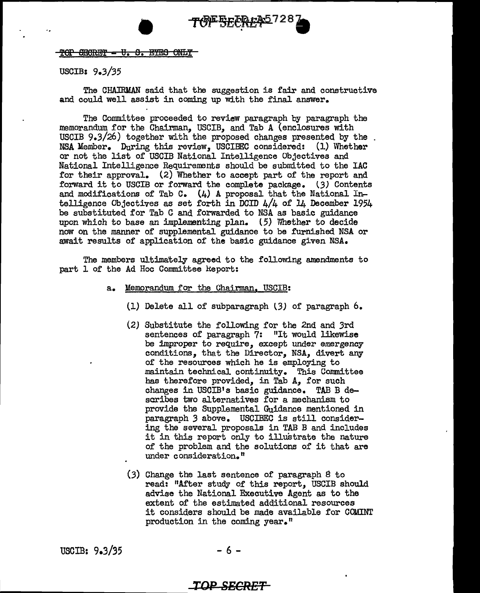#### TOP SECRET = U.S. EYES ONLY

#### USCIB: 9.3/35

The CHATRMAN said that the suggestion is fair and constructive and could well assist in coming up with the final answer.

The Committee proceeded to review paragraph by paragraph the .memorandum for the Chairman, USCIB, and Tab A (enclosures with USCIB 9.3/26) together with the proposed changes presented by the NSA Member. During this review, USCIBEC considered: (1) \Vhether or not the list of USCIB National Intelligence Objectives and National Intelligence Requirements should be submitted to the IAC for their approval. (2) Whether to accept part of the report and forward it to USCIB or forward the complete package. (3) Contents and modifications of Tab C.  $(4)$  A proposal that the National Intelligence Objectives as set forth in DCID 4/4 of 14 December 1954 be substituted for Tab C and forwarded to NSA as basic guidance upon which to base an implementing plan.  $(5)$  Whether to decide now on the manner of supplemental guidance to be furnished NSA or await results of application of the basic guidance given NSA.

The members ultimately agreed to the following amendments to part 1 of the Ad Hoc Committee Report:

- a. Memorandum. for the Chairman, USCIB:
	- (1) Delete all of subparagraph (3) of paragraph  $6.$
	- (2) Substitute the following for the 2nd and 3rd sentences of paragraph 7: "It would likewise be improper to require, except under emergency conditions, that the Director, NSA, divert any of the resources which he is employing to .maintain technical continuity. This Committee has therefore provided, in Tab A, for such changes in USCIB1s basic guidance. TAB B describes two alternatives for a mechanism to provide the Supplemental Guidance mentioned in paragraph *3* above. USCIBEC is still considering the several proposals in TAB B and includes it in this report only to illustrate the nature of the problem and the solutions of it that are under consideration."
	- (3) Change the last sentence of paragraph *B* to read: 11After study of this report, USCIB should advise the National Executive Agent as to the extent of the estimated additional resources it considers should be made available for COMINT production in the coming year."

USCIB:  $9.3/35$  - 6 -

# **TOP SECRET**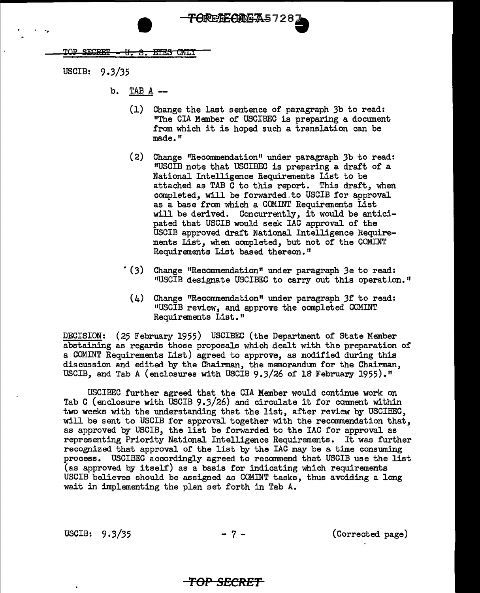TOP SECRET -<del>S. ETES ONLY</del> - 77

USCIB: 9 .3/35

. ..

- b. TAB A --
	- (1) Change the last sentence of paragraph 3b to read: "The CIA Member of USCIBEC is preparing a document from which it is hoped such a translation can be made."

**ORESE CLEAS728** 

- (2) Change "Recommendation" under paragraph 3b to read: <sup>11</sup>USCIB note that USCIBEC is preparing a draft of a National Intelligence Requirements List to be attached as TAB C to this report. This draft, when completed, will be forwarded.to USCIB for approval as a base from which a COMINT Requirements List will be derived. Concurrently, it would be anticipated that USCIB would seek IAC approval of the USCIB approved draft National Intelligence Requirements List, when completed, but not of the COMINT Requirements List based thereon."
- \* (3) Change "Recommendation" under paragraph 3e to read: "USCIB designate USCIBEC to carry out this operation."
	- $(4)$  Change "Recommendation" under paragraph 3f to read: 11USCIB review, and approve the completed COMINT Requirements List."

DECISION: (25 February 1955) USCIBEC (the Department of State Member abstaining as regards those proposals which dealt with the preparation of a COMINT Requirements List) agreed to approve, as modified during this discussion and edited by the Chairman, the memorandum for the Chairman, USCIB, and Tab A (enclosures with USCIB  $9.3/26$  of 18 February 1955)."

USCIBEC further agreed that the CIA Member would continue work on Tab C (enclosure with USCIB  $9.3/26$ ) and circulate it for comment within two weeks with the understanding that the list, after review by USCIBEC, will be sent to USCIB for approval together with the recommendation that, as approved by USCIB, the list be forwarded to the IAC for approval as representing Priority National Intelligence Requirements. It was further recognized that approval of the list by the IAC may be a time consuming process. USCIBEC accordingly agreed to recommend that USCIB use the list (as approved by itself) as a basis for indicating which requirements USCIB believes should be assigned as COMINT tasks, thus avoiding a long wait in implementing the plan set forth in Tab A.

USCIB:  $9.3/35$  - 7 - (Corrected page)

# **TOP SECRE"f**